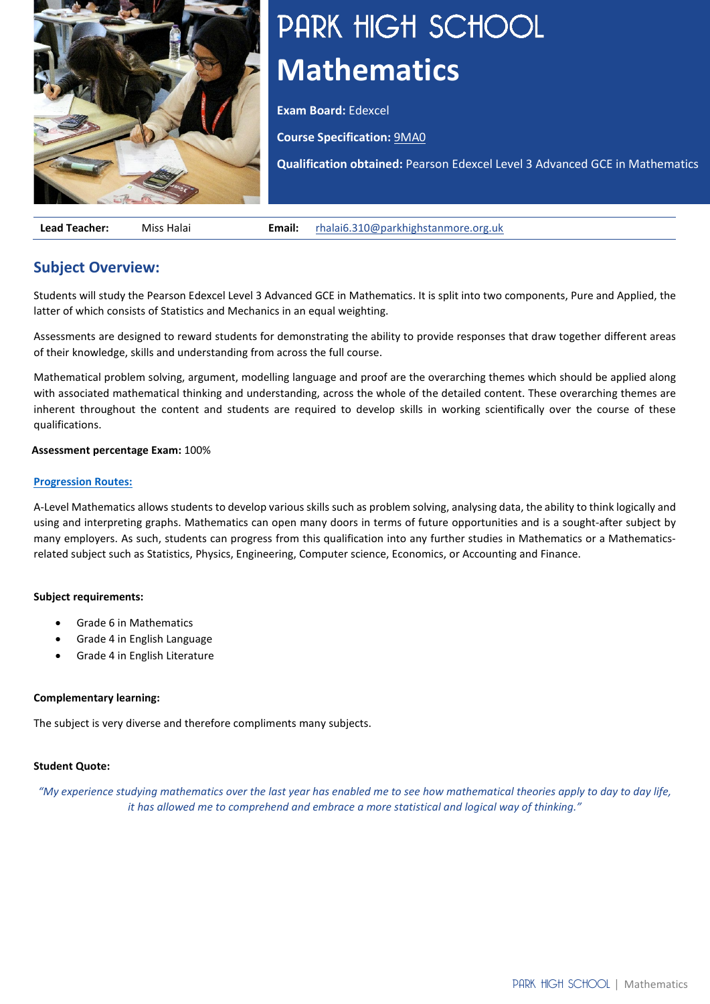

# PARK HIGH SCHOOL **Mathematics**

**Exam Board:** Edexcel

**Course Specification:** [9MA0](https://qualifications.pearson.com/content/dam/pdf/A%20Level/Mathematics/2017/specification-and-sample-assesment/a-level-l3-mathematics-specification-issue4.pdf)

**Qualification obtained:** Pearson Edexcel Level 3 Advanced GCE in Mathematics

**Lead Teacher:** Miss Halai **Email:** [rhalai6.310@parkhighstanmore.org.uk](mailto:rhalai6.310@parkhighstanmore.org.uk)

## **Subject Overview:**

Students will study the Pearson Edexcel Level 3 Advanced GCE in Mathematics. It is split into two components, Pure and Applied, the latter of which consists of Statistics and Mechanics in an equal weighting.

Assessments are designed to reward students for demonstrating the ability to provide responses that draw together different areas of their knowledge, skills and understanding from across the full course.

Mathematical problem solving, argument, modelling language and proof are the overarching themes which should be applied along with associated mathematical thinking and understanding, across the whole of the detailed content. These overarching themes are inherent throughout the content and students are required to develop skills in working scientifically over the course of these qualifications.

#### **Assessment percentage Exam:** 100%

#### **[Progression Routes:](https://www.parkhighstanmore.org.uk/careersandemploaybility/studentresources)**

A-Level Mathematics allows students to develop various skills such as problem solving, analysing data, the ability to think logically and using and interpreting graphs. Mathematics can open many doors in terms of future opportunities and is a sought-after subject by many employers. As such, students can progress from this qualification into any further studies in Mathematics or a Mathematicsrelated subject such as Statistics, Physics, Engineering, Computer science, Economics, or Accounting and Finance.

#### **Subject requirements:**

- Grade 6 in Mathematics
- Grade 4 in English Language
- Grade 4 in English Literature

#### **Complementary learning:**

The subject is very diverse and therefore compliments many subjects.

#### **Student Quote:**

*"My experience studying mathematics over the last year has enabled me to see how mathematical theories apply to day to day life, it has allowed me to comprehend and embrace a more statistical and logical way of thinking."*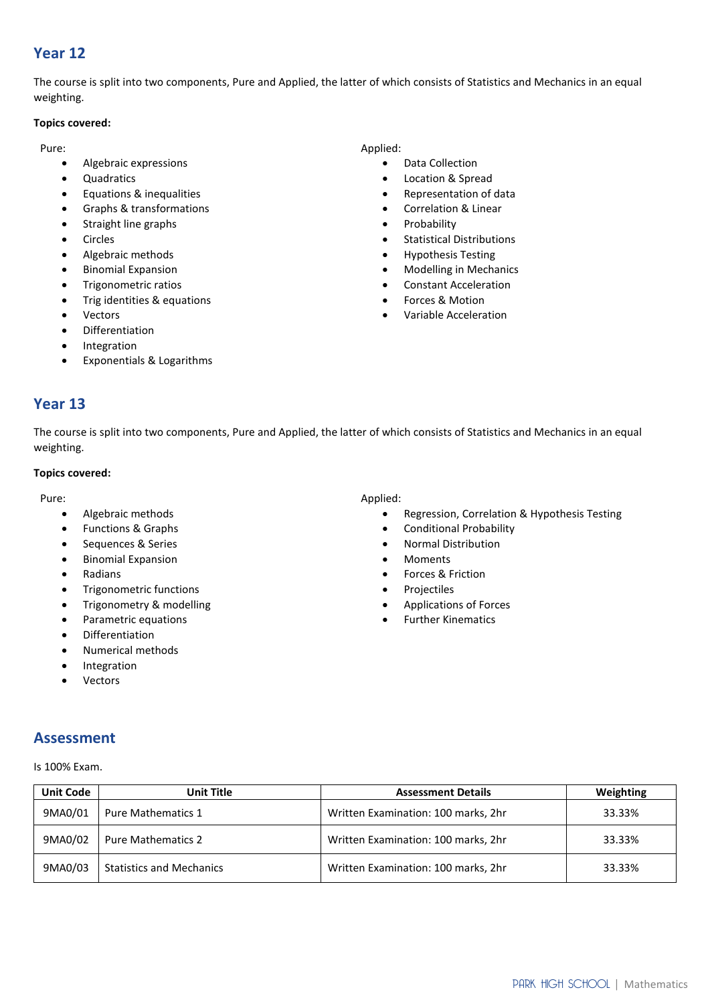# **Year 12**

The course is split into two components, Pure and Applied, the latter of which consists of Statistics and Mechanics in an equal weighting.

#### **Topics covered:**

Pure:

- Algebraic expressions
- Quadratics
- Equations & inequalities
- Graphs & transformations
- Straight line graphs
- Circles
- Algebraic methods
- Binomial Expansion
- Trigonometric ratios
- Trig identities & equations
- Vectors
- **Differentiation**
- Integration
- Exponentials & Logarithms

#### Applied:

- Data Collection
- Location & Spread
- Representation of data
- Correlation & Linear
- **Probability**
- Statistical Distributions
- Hypothesis Testing
- Modelling in Mechanics
- Constant Acceleration
- Forces & Motion
- Variable Acceleration

### **Year 13**

The course is split into two components, Pure and Applied, the latter of which consists of Statistics and Mechanics in an equal weighting.

#### **Topics covered:**

Pure:

- Algebraic methods
- Functions & Graphs
- Sequences & Series
- Binomial Expansion
- Radians
- Trigonometric functions
- Trigonometry & modelling
- Parametric equations
- Differentiation
- Numerical methods
- **Integration**
- **Vectors**

#### Applied:

- Regression, Correlation & Hypothesis Testing
- Conditional Probability
- Normal Distribution
- Moments
- Forces & Friction
- **Projectiles**
- Applications of Forces
- Further Kinematics

#### **Assessment**

Is 100% Exam.

| <b>Unit Code</b> | Unit Title                      | <b>Assessment Details</b>           | Weighting |
|------------------|---------------------------------|-------------------------------------|-----------|
| 9MA0/01          | <b>Pure Mathematics 1</b>       | Written Examination: 100 marks, 2hr | 33.33%    |
| 9MA0/02          | <b>Pure Mathematics 2</b>       | Written Examination: 100 marks, 2hr | 33.33%    |
| 9MA0/03          | <b>Statistics and Mechanics</b> | Written Examination: 100 marks, 2hr | 33.33%    |